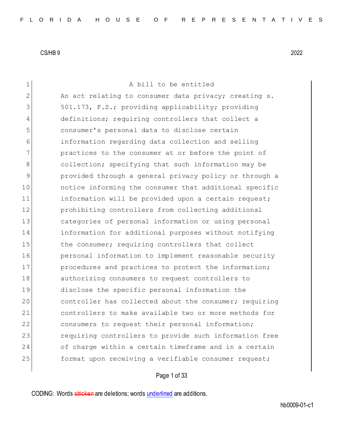A bill to be entitled 2 An act relating to consumer data privacy; creating s. 501.173, F.S.; providing applicability; providing definitions; requiring controllers that collect a consumer's personal data to disclose certain information regarding data collection and selling practices to the consumer at or before the point of 8 8 collection; specifying that such information may be provided through a general privacy policy or through a **notice informing the consumer that additional specific** 11 information will be provided upon a certain request; prohibiting controllers from collecting additional categories of personal information or using personal information for additional purposes without notifying 15 the consumer; requiring controllers that collect **personal information to implement reasonable security** 17 procedures and practices to protect the information; authorizing consumers to request controllers to disclose the specific personal information the 20 controller has collected about the consumer; requiring controllers to make available two or more methods for 22 consumers to request their personal information; 23 requiring controllers to provide such information free of charge within a certain timeframe and in a certain 25 format upon receiving a verifiable consumer request;

Page 1 of 33

CODING: Words stricken are deletions; words underlined are additions.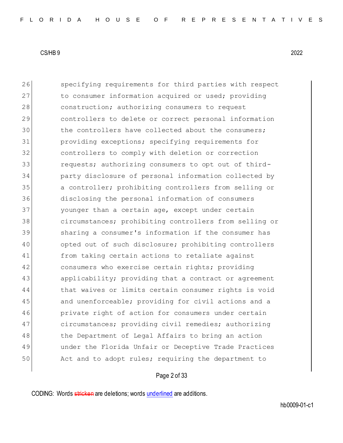26 Specifying requirements for third parties with respect 27 to consumer information acquired or used; providing 28 construction; authorizing consumers to request 29 controllers to delete or correct personal information 30 the controllers have collected about the consumers; 31 providing exceptions; specifying requirements for 32 controllers to comply with deletion or correction 33 **requests;** authorizing consumers to opt out of third-34 party disclosure of personal information collected by 35 a controller; prohibiting controllers from selling or 36 disclosing the personal information of consumers 37 younger than a certain age, except under certain 38 circumstances; prohibiting controllers from selling or 39 sharing a consumer's information if the consumer has 40 opted out of such disclosure; prohibiting controllers 41 from taking certain actions to retaliate against 42 consumers who exercise certain rights; providing 43 applicability; providing that a contract or agreement 44 that waives or limits certain consumer rights is void 45 and unenforceable; providing for civil actions and a 46 private right of action for consumers under certain 47 circumstances; providing civil remedies; authorizing 48 the Department of Legal Affairs to bring an action 49 under the Florida Unfair or Deceptive Trade Practices 50 Act and to adopt rules; requiring the department to

# Page 2 of 33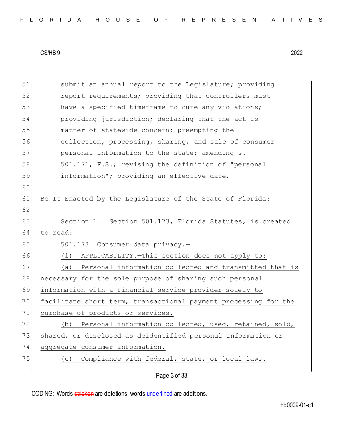|  |  |  |  |  |  |  |  |  |  | FLORIDA HOUSE OF REPRESENTATIVES |  |  |  |  |  |  |  |  |  |  |  |  |  |  |  |
|--|--|--|--|--|--|--|--|--|--|----------------------------------|--|--|--|--|--|--|--|--|--|--|--|--|--|--|--|
|--|--|--|--|--|--|--|--|--|--|----------------------------------|--|--|--|--|--|--|--|--|--|--|--|--|--|--|--|

Page 3 of 33 51 Submit an annual report to the Legislature; providing 52 report requirements; providing that controllers must 53 have a specified timeframe to cure any violations; 54 providing jurisdiction; declaring that the act is 55 matter of statewide concern; preempting the 56 collection, processing, sharing, and sale of consumer 57 personal information to the state; amending s. 58 501.171, F.S.; revising the definition of "personal 59 information"; providing an effective date. 60 61 Be It Enacted by the Legislature of the State of Florida: 62 63 Section 1. Section 501.173, Florida Statutes, is created 64 to read: 65 501.173 Consumer data privacy.-66 (1) APPLICABILITY.—This section does not apply to: 67 (a) Personal information collected and transmitted that is 68 | necessary for the sole purpose of sharing such personal 69 information with a financial service provider solely to 70 facilitate short term, transactional payment processing for the 71 purchase of products or services. 72 (b) Personal information collected, used, retained, sold, 73 shared, or disclosed as deidentified personal information or 74 aggregate consumer information. 75 (c) Compliance with federal, state, or local laws.

CODING: Words stricken are deletions; words underlined are additions.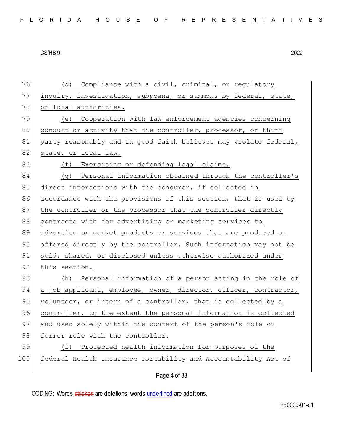76 (d) Compliance with a civil, criminal, or regulatory 77 inquiry, investigation, subpoena, or summons by federal, state, 78 or local authorities. 79 (e) Cooperation with law enforcement agencies concerning 80 conduct or activity that the controller, processor, or third 81 party reasonably and in good faith believes may violate federal, 82 state, or local law. 83 (f) Exercising or defending legal claims. 84 (g) Personal information obtained through the controller's 85 direct interactions with the consumer, if collected in 86 accordance with the provisions of this section, that is used by 87 the controller or the processor that the controller directly 88 contracts with for advertising or marketing services to 89 advertise or market products or services that are produced or 90 offered directly by the controller. Such information may not be 91 sold, shared, or disclosed unless otherwise authorized under 92 this section. 93 (h) Personal information of a person acting in the role of 94 a job applicant, employee, owner, director, officer, contractor, 95 volunteer, or intern of a controller, that is collected by a 96 controller, to the extent the personal information is collected 97 and used solely within the context of the person's role or 98 former role with the controller. 99 (i) Protected health information for purposes of the 100 federal Health Insurance Portability and Accountability Act of

Page 4 of 33

CODING: Words stricken are deletions; words underlined are additions.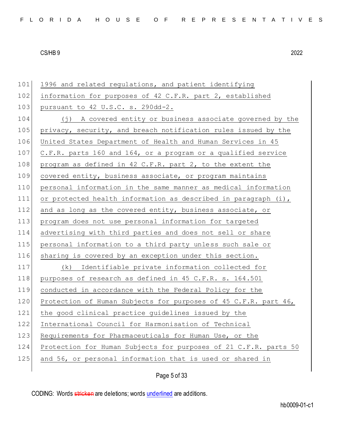| 101 | 1996 and related regulations, and patient identifying            |
|-----|------------------------------------------------------------------|
| 102 | information for purposes of 42 C.F.R. part 2, established        |
| 103 | pursuant to 42 U.S.C. s. 290dd-2.                                |
| 104 | (j) A covered entity or business associate governed by the       |
| 105 | privacy, security, and breach notification rules issued by the   |
| 106 | United States Department of Health and Human Services in 45      |
| 107 | C.F.R. parts 160 and 164, or a program or a qualified service    |
| 108 | program as defined in 42 C.F.R. part 2, to the extent the        |
| 109 | covered entity, business associate, or program maintains         |
| 110 | personal information in the same manner as medical information   |
| 111 | or protected health information as described in paragraph (i),   |
| 112 | and as long as the covered entity, business associate, or        |
| 113 | program does not use personal information for targeted           |
| 114 | advertising with third parties and does not sell or share        |
| 115 | personal information to a third party unless such sale or        |
| 116 | sharing is covered by an exception under this section.           |
| 117 | Identifiable private information collected for<br>(k)            |
| 118 | purposes of research as defined in 45 C.F.R. s. 164.501          |
| 119 | conducted in accordance with the Federal Policy for the          |
| 120 | Protection of Human Subjects for purposes of 45 C.F.R. part 46,  |
| 121 | the good clinical practice guidelines issued by the              |
| 122 | International Council for Harmonisation of Technical             |
| 123 | Requirements for Pharmaceuticals for Human Use, or the           |
| 124 | Protection for Human Subjects for purposes of 21 C.F.R. parts 50 |
| 125 | and 56, or personal information that is used or shared in        |
|     |                                                                  |

Page 5 of 33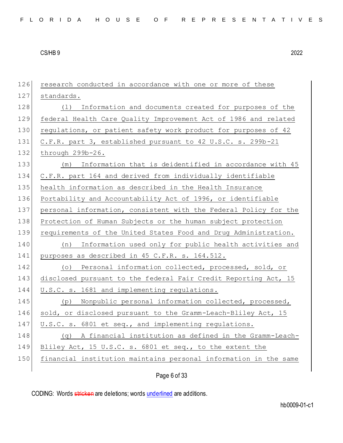research conducted in accordance with one or more of these 127 standards. 128 (1) Information and documents created for purposes of the federal Health Care Quality Improvement Act of 1986 and related 130 regulations, or patient safety work product for purposes of 42 C.F.R. part 3, established pursuant to 42 U.S.C. s. 299b-21 through 299b-26. (m) Information that is deidentified in accordance with 45 C.F.R. part 164 and derived from individually identifiable health information as described in the Health Insurance Portability and Accountability Act of 1996, or identifiable 137 personal information, consistent with the Federal Policy for the Protection of Human Subjects or the human subject protection requirements of the United States Food and Drug Administration. (n) Information used only for public health activities and 141 purposes as described in 45 C.F.R. s. 164.512. 142 (o) Personal information collected, processed, sold, or disclosed pursuant to the federal Fair Credit Reporting Act, 15 U.S.C. s. 1681 and implementing regulations. (p) Nonpublic personal information collected, processed, 146 sold, or disclosed pursuant to the Gramm-Leach-Bliley Act, 15 147 U.S.C. s. 6801 et seq., and implementing regulations. (q) A financial institution as defined in the Gramm-Leach- Bliley Act, 15 U.S.C. s. 6801 et seq., to the extent the financial institution maintains personal information in the same

Page 6 of 33

CODING: Words stricken are deletions; words underlined are additions.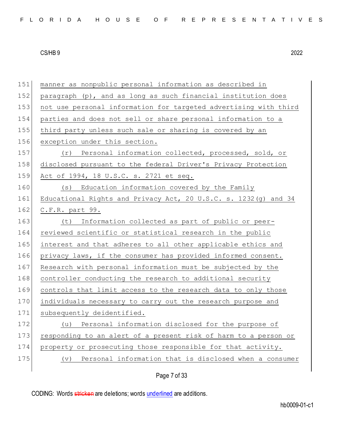| 151 | manner as nonpublic personal information as described in             |
|-----|----------------------------------------------------------------------|
| 152 | paragraph (p), and as long as such financial institution does        |
| 153 | not use personal information for targeted advertising with third     |
| 154 | parties and does not sell or share personal information to a         |
| 155 | third party unless such sale or sharing is covered by an             |
| 156 | exception under this section.                                        |
| 157 | (r) Personal information collected, processed, sold, or              |
| 158 | disclosed pursuant to the federal Driver's Privacy Protection        |
| 159 | Act of 1994, 18 U.S.C. s. 2721 et seq.                               |
| 160 | Education information covered by the Family<br>(S)                   |
| 161 | Educational Rights and Privacy Act, 20 U.S.C. s. 1232 (g) and 34     |
| 162 | C.F.R. part 99.                                                      |
| 163 | (t) Information collected as part of public or peer-                 |
| 164 | reviewed scientific or statistical research in the public            |
| 165 | interest and that adheres to all other applicable ethics and         |
| 166 | privacy laws, if the consumer has provided informed consent.         |
| 167 | Research with personal information must be subjected by the          |
| 168 | controller conducting the research to additional security            |
| 169 | controls that limit access to the research data to only those        |
| 170 | individuals necessary to carry out the research purpose and          |
| 171 | subsequently deidentified.                                           |
| 172 | Personal information disclosed for the purpose of<br>(u)             |
| 173 | responding to an alert of a present risk of harm to a person or      |
| 174 | property or prosecuting those responsible for that activity.         |
| 175 | Personal information that is disclosed when a consumer<br>$(\nabla)$ |
|     |                                                                      |

Page 7 of 33

CODING: Words stricken are deletions; words underlined are additions.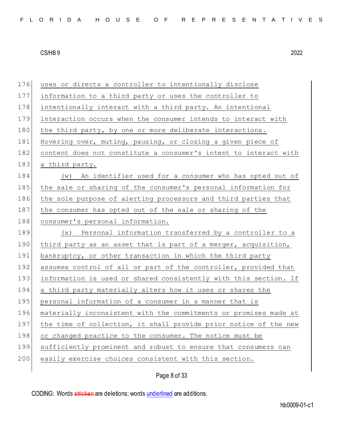176 uses or directs a controller to intentionally disclose 177 information to a third party or uses the controller to 178 intentionally interact with a third party. An intentional 179 interaction occurs when the consumer intends to interact with 180 the third party, by one or more deliberate interactions. 181 Hovering over, muting, pausing, or closing a given piece of 182 content does not constitute a consumer's intent to interact with 183 a third party. 184 (w) An identifier used for a consumer who has opted out of 185 the sale or sharing of the consumer's personal information for 186 the sole purpose of alerting processors and third parties that 187 the consumer has opted out of the sale or sharing of the 188 consumer's personal information. 189 (x) Personal information transferred by a controller to a 190 third party as an asset that is part of a merger, acquisition, 191 bankruptcy, or other transaction in which the third party 192 assumes control of all or part of the controller, provided that 193 information is used or shared consistently with this section. If 194 a third party materially alters how it uses or shares the 195 personal information of a consumer in a manner that is 196 materially inconsistent with the commitments or promises made at 197 the time of collection, it shall provide prior notice of the new 198 or changed practice to the consumer. The notice must be 199 sufficiently prominent and robust to ensure that consumers can 200 easily exercise choices consistent with this section.

# Page 8 of 33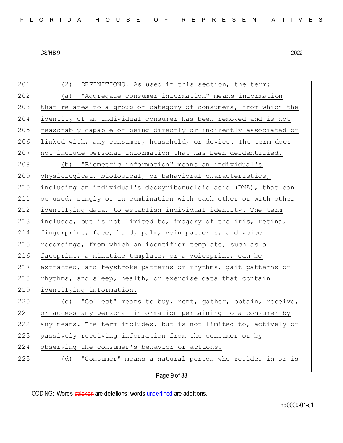| 201 | (2)<br>DEFINITIONS. - As used in this section, the term:         |
|-----|------------------------------------------------------------------|
| 202 | (a) "Aggregate consumer information" means information           |
| 203 | that relates to a group or category of consumers, from which the |
| 204 | identity of an individual consumer has been removed and is not   |
| 205 | reasonably capable of being directly or indirectly associated or |
| 206 | linked with, any consumer, household, or device. The term does   |
| 207 | not include personal information that has been deidentified.     |
| 208 | "Biometric information" means an individual's<br>(b)             |
| 209 | physiological, biological, or behavioral characteristics,        |
| 210 | including an individual's deoxyribonucleic acid (DNA), that can  |
| 211 | be used, singly or in combination with each other or with other  |
| 212 | identifying data, to establish individual identity. The term     |
| 213 | includes, but is not limited to, imagery of the iris, retina,    |
| 214 | fingerprint, face, hand, palm, vein patterns, and voice          |
| 215 | recordings, from which an identifier template, such as a         |
| 216 | faceprint, a minutiae template, or a voiceprint, can be          |
| 217 | extracted, and keystroke patterns or rhythms, gait patterns or   |
| 218 | rhythms, and sleep, health, or exercise data that contain        |
| 219 | identifying information.                                         |
| 220 | (c) "Collect" means to buy, rent, gather, obtain, receive,       |
| 221 | or access any personal information pertaining to a consumer by   |
| 222 | any means. The term includes, but is not limited to, actively or |
| 223 | passively receiving information from the consumer or by          |
| 224 | observing the consumer's behavior or actions.                    |
| 225 | "Consumer" means a natural person who resides in or is<br>(d)    |
|     |                                                                  |

# Page 9 of 33

CODING: Words stricken are deletions; words underlined are additions.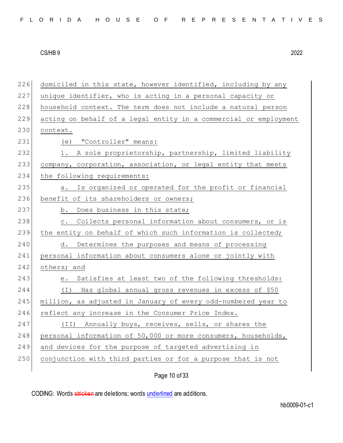| 226 | domiciled in this state, however identified, including by any    |
|-----|------------------------------------------------------------------|
| 227 | unique identifier, who is acting in a personal capacity or       |
| 228 | household context. The term does not include a natural person    |
| 229 | acting on behalf of a legal entity in a commercial or employment |
| 230 | context.                                                         |
| 231 | (e) "Controller" means:                                          |
| 232 | 1. A sole proprietorship, partnership, limited liability         |
| 233 | company, corporation, association, or legal entity that meets    |
| 234 | the following requirements:                                      |
| 235 | Is organized or operated for the profit or financial<br>a.       |
| 236 | benefit of its shareholders or owners;                           |
| 237 | b. Does business in this state;                                  |
| 238 | c. Collects personal information about consumers, or is          |
| 239 | the entity on behalf of which such information is collected;     |
| 240 | d. Determines the purposes and means of processing               |
| 241 | personal information about consumers alone or jointly with       |
| 242 | others; and                                                      |
| 243 | Satisfies at least two of the following thresholds:<br>е.        |
| 244 | (I) Has global annual gross revenues in excess of \$50           |
| 245 | million, as adjusted in January of every odd-numbered year to    |
| 246 | reflect any increase in the Consumer Price Index.                |
| 247 | (II) Annually buys, receives, sells, or shares the               |
| 248 | personal information of 50,000 or more consumers, households,    |
| 249 | and devices for the purpose of targeted advertising in           |
| 250 | conjunction with third parties or for a purpose that is not      |
|     |                                                                  |

Page 10 of 33

CODING: Words stricken are deletions; words underlined are additions.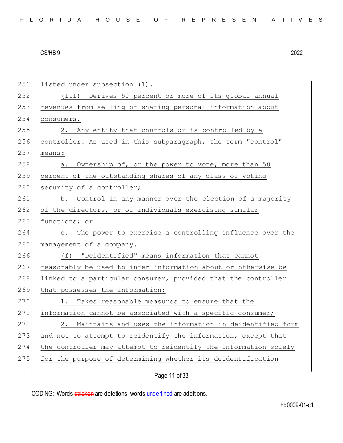| 251 | listed under subsection (1).                                        |
|-----|---------------------------------------------------------------------|
| 252 | (III)<br>Derives 50 percent or more of its global annual            |
| 253 | revenues from selling or sharing personal information about         |
| 254 | consumers.                                                          |
| 255 | 2. Any entity that controls or is controlled by a                   |
| 256 | controller. As used in this subparagraph, the term "control"        |
| 257 | means:                                                              |
| 258 | Ownership of, or the power to vote, more than 50<br>а.              |
| 259 | percent of the outstanding shares of any class of voting            |
| 260 | security of a controller;                                           |
| 261 | b. Control in any manner over the election of a majority            |
| 262 | of the directors, or of individuals exercising similar              |
| 263 | functions; or                                                       |
| 264 | The power to exercise a controlling influence over the<br>$\circ$ . |
| 265 | management of a company.                                            |
| 266 | (f) "Deidentified" means information that cannot                    |
| 267 | reasonably be used to infer information about or otherwise be       |
| 268 | linked to a particular consumer, provided that the controller       |
| 269 | that possesses the information:                                     |
| 270 | Takes reasonable measures to ensure that the                        |
| 271 | information cannot be associated with a specific consumer;          |
| 272 | 2. Maintains and uses the information in deidentified form          |
| 273 | and not to attempt to reidentify the information, except that       |
| 274 | the controller may attempt to reidentify the information solely     |
| 275 | for the purpose of determining whether its deidentification         |
|     |                                                                     |

# Page 11 of 33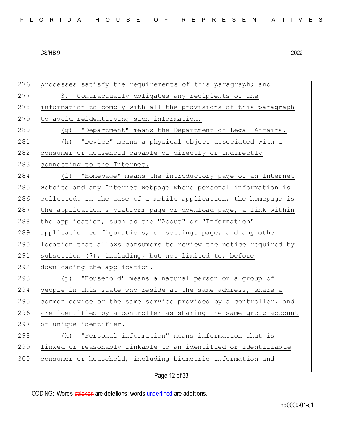276 processes satisfy the requirements of this paragraph; and 277 3. Contractually obligates any recipients of the 278 information to comply with all the provisions of this paragraph 279 to avoid reidentifying such information. 280 (g) "Department" means the Department of Legal Affairs. 281 (h) "Device" means a physical object associated with a 282 consumer or household capable of directly or indirectly 283 connecting to the Internet. 284 (i) "Homepage" means the introductory page of an Internet 285 website and any Internet webpage where personal information is 286 collected. In the case of a mobile application, the homepage is 287 the application's platform page or download page, a link within 288 the application, such as the "About" or "Information" 289 application configurations, or settings page, and any other 290 location that allows consumers to review the notice required by 291 subsection (7), including, but not limited to, before 292 downloading the application. 293 (j) "Household" means a natural person or a group of 294 people in this state who reside at the same address, share a 295 common device or the same service provided by a controller, and 296 are identified by a controller as sharing the same group account 297 or unique identifier. 298 (k) "Personal information" means information that is 299 linked or reasonably linkable to an identified or identifiable 300 consumer or household, including biometric information and

Page 12 of 33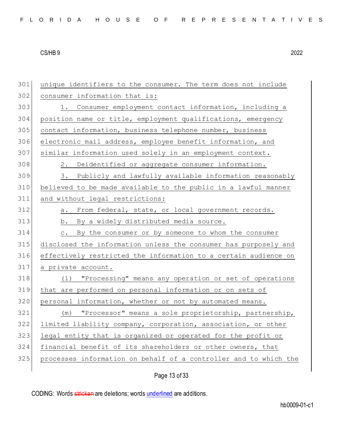| 301 | unique identifiers to the consumer. The term does not include    |
|-----|------------------------------------------------------------------|
| 302 | consumer information that is:                                    |
| 303 | 1. Consumer employment contact information, including a          |
| 304 | position name or title, employment qualifications, emergency     |
| 305 | contact information, business telephone number, business         |
| 306 | electronic mail address, employee benefit information, and       |
| 307 | similar information used solely in an employment context.        |
| 308 | 2. Deidentified or aggregate consumer information.               |
| 309 | 3. Publicly and lawfully available information reasonably        |
| 310 | believed to be made available to the public in a lawful manner   |
| 311 | and without legal restrictions:                                  |
| 312 | a. From federal, state, or local government records.             |
| 313 | b. By a widely distributed media source.                         |
| 314 | By the consumer or by someone to whom the consumer<br>$\circ$ .  |
| 315 | disclosed the information unless the consumer has purposely and  |
| 316 | effectively restricted the information to a certain audience on  |
| 317 | a private account.                                               |
| 318 | "Processing" means any operation or set of operations<br>( 1 )   |
| 319 | that are performed on personal information or on sets of         |
| 320 | personal information, whether or not by automated means.         |
| 321 | "Processor" means a sole proprietorship, partnership,<br>(m)     |
| 322 | limited liability company, corporation, association, or other    |
| 323 | legal entity that is organized or operated for the profit or     |
| 324 | financial benefit of its shareholders or other owners, that      |
| 325 | processes information on behalf of a controller and to which the |
|     |                                                                  |

Page 13 of 33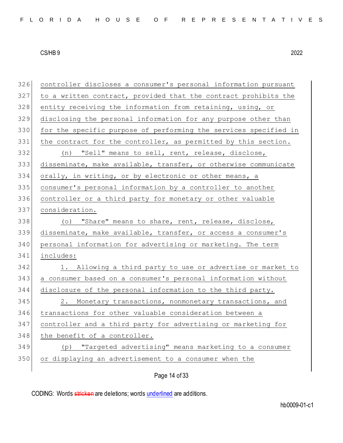| 326 | controller discloses a consumer's personal information pursuant  |
|-----|------------------------------------------------------------------|
| 327 | to a written contract, provided that the contract prohibits the  |
| 328 | entity receiving the information from retaining, using, or       |
| 329 | disclosing the personal information for any purpose other than   |
| 330 | for the specific purpose of performing the services specified in |
| 331 | the contract for the controller, as permitted by this section.   |
| 332 | (n) "Sell" means to sell, rent, release, disclose,               |
| 333 | disseminate, make available, transfer, or otherwise communicate  |
| 334 | orally, in writing, or by electronic or other means, a           |
| 335 | consumer's personal information by a controller to another       |
| 336 | controller or a third party for monetary or other valuable       |
| 337 | consideration.                                                   |
| 338 | (o) "Share" means to share, rent, release, disclose,             |
| 339 | disseminate, make available, transfer, or access a consumer's    |
| 340 | personal information for advertising or marketing. The term      |
| 341 | includes:                                                        |
| 342 | 1. Allowing a third party to use or advertise or market to       |
| 343 | a consumer based on a consumer's personal information without    |
| 344 | disclosure of the personal information to the third party.       |
| 345 | 2. Monetary transactions, nonmonetary transactions, and          |
| 346 | transactions for other valuable consideration between a          |
| 347 | controller and a third party for advertising or marketing for    |
| 348 | the benefit of a controller.                                     |
| 349 | "Targeted advertising" means marketing to a consumer<br>(p)      |
| 350 | or displaying an advertisement to a consumer when the            |
|     | Page 14 of 33                                                    |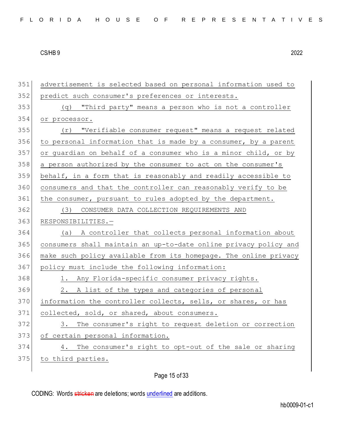| 351 | advertisement is selected based on personal information used to  |
|-----|------------------------------------------------------------------|
| 352 | predict such consumer's preferences or interests.                |
| 353 | (q) "Third party" means a person who is not a controller         |
| 354 | or processor.                                                    |
| 355 | "Verifiable consumer request" means a request related<br>(r)     |
| 356 | to personal information that is made by a consumer, by a parent  |
| 357 | or guardian on behalf of a consumer who is a minor child, or by  |
| 358 | a person authorized by the consumer to act on the consumer's     |
| 359 | behalf, in a form that is reasonably and readily accessible to   |
| 360 | consumers and that the controller can reasonably verify to be    |
| 361 | the consumer, pursuant to rules adopted by the department.       |
| 362 | CONSUMER DATA COLLECTION REQUIREMENTS AND<br>(3)                 |
| 363 | RESPONSIBILITIES.-                                               |
| 364 | A controller that collects personal information about<br>(a)     |
| 365 | consumers shall maintain an up-to-date online privacy policy and |
| 366 | make such policy available from its homepage. The online privacy |
| 367 | policy must include the following information:                   |
| 368 | 1. Any Florida-specific consumer privacy rights.                 |
| 369 | 2. A list of the types and categories of personal                |
| 370 | information the controller collects, sells, or shares, or has    |
| 371 | collected, sold, or shared, about consumers.                     |
| 372 | 3. The consumer's right to request deletion or correction        |
| 373 | of certain personal information.                                 |
| 374 | The consumer's right to opt-out of the sale or sharing<br>4.     |
| 375 | to third parties.                                                |
|     |                                                                  |

Page 15 of 33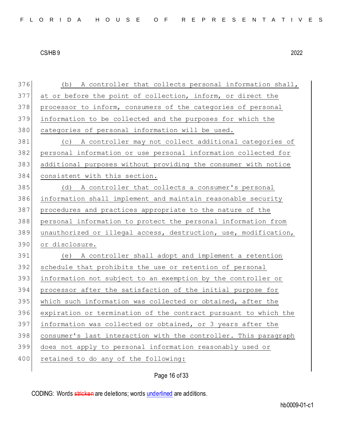376 (b) A controller that collects personal information shall, at or before the point of collection, inform, or direct the 378 processor to inform, consumers of the categories of personal information to be collected and the purposes for which the 380 categories of personal information will be used. (c) A controller may not collect additional categories of personal information or use personal information collected for additional purposes without providing the consumer with notice consistent with this section. (d) A controller that collects a consumer's personal information shall implement and maintain reasonable security procedures and practices appropriate to the nature of the personal information to protect the personal information from unauthorized or illegal access, destruction, use, modification, or disclosure. (e) A controller shall adopt and implement a retention 392 schedule that prohibits the use or retention of personal information not subject to an exemption by the controller or processor after the satisfaction of the initial purpose for 395 which such information was collected or obtained, after the expiration or termination of the contract pursuant to which the information was collected or obtained, or 3 years after the consumer's last interaction with the controller. This paragraph does not apply to personal information reasonably used or 400 retained to do any of the following:

Page 16 of 33

CODING: Words stricken are deletions; words underlined are additions.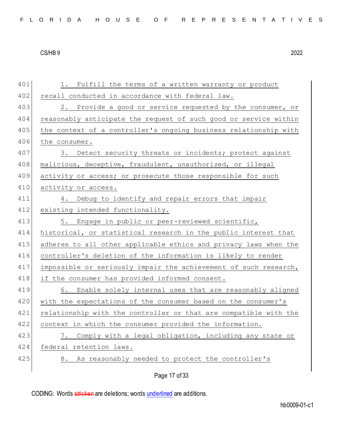| 401 | Fulfill the terms of a written warranty or product<br>1.         |
|-----|------------------------------------------------------------------|
| 402 | recall conducted in accordance with federal law.                 |
| 403 | 2. Provide a good or service requested by the consumer, or       |
| 404 | reasonably anticipate the request of such good or service within |
| 405 | the context of a controller's ongoing business relationship with |
| 406 | the consumer.                                                    |
| 407 | 3. Detect security threats or incidents; protect against         |
| 408 | malicious, deceptive, fraudulent, unauthorized, or illegal       |
| 409 | activity or access; or prosecute those responsible for such      |
| 410 | activity or access.                                              |
| 411 | 4. Debug to identify and repair errors that impair               |
| 412 | existing intended functionality.                                 |
| 413 | 5. Engage in public or peer-reviewed scientific,                 |
| 414 | historical, or statistical research in the public interest that  |
| 415 | adheres to all other applicable ethics and privacy laws when the |
| 416 | controller's deletion of the information is likely to render     |
| 417 | impossible or seriously impair the achievement of such research, |
| 418 | if the consumer has provided informed consent.                   |
| 419 | 6. Enable solely internal uses that are reasonably aligned       |
| 420 | with the expectations of the consumer based on the consumer's    |
| 421 | relationship with the controller or that are compatible with the |
| 422 | context in which the consumer provided the information.          |
| 423 | 7. Comply with a legal obligation, including any state or        |
| 424 | federal retention laws.                                          |
|     |                                                                  |
| 425 | 8. As reasonably needed to protect the controller's              |

Page 17 of 33

CODING: Words stricken are deletions; words underlined are additions.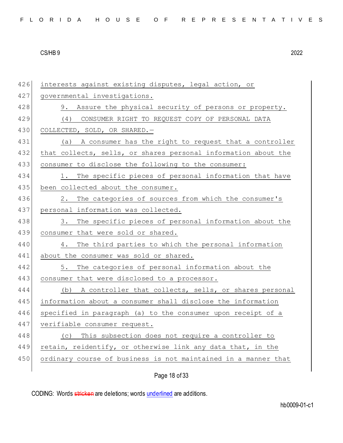| 426 | interests against existing disputes, legal action, or          |
|-----|----------------------------------------------------------------|
| 427 | governmental investigations.                                   |
| 428 | 9. Assure the physical security of persons or property.        |
| 429 | CONSUMER RIGHT TO REQUEST COPY OF PERSONAL DATA<br>(4)         |
| 430 | COLLECTED, SOLD, OR SHARED.-                                   |
| 431 | (a) A consumer has the right to request that a controller      |
| 432 | that collects, sells, or shares personal information about the |
| 433 | consumer to disclose the following to the consumer:            |
| 434 | The specific pieces of personal information that have<br>1.    |
| 435 | been collected about the consumer.                             |
| 436 | The categories of sources from which the consumer's<br>2.      |
| 437 | personal information was collected.                            |
| 438 | The specific pieces of personal information about the<br>3.    |
| 439 | consumer that were sold or shared.                             |
| 440 | The third parties to which the personal information<br>4.      |
| 441 | about the consumer was sold or shared.                         |
| 442 | The categories of personal information about the<br>5.         |
| 443 | consumer that were disclosed to a processor.                   |
| 444 | (b) A controller that collects, sells, or shares personal      |
| 445 | information about a consumer shall disclose the information    |
| 446 | specified in paragraph (a) to the consumer upon receipt of a   |
| 447 | verifiable consumer request.                                   |
| 448 | (c) This subsection does not require a controller to           |
| 449 | retain, reidentify, or otherwise link any data that, in the    |
| 450 | ordinary course of business is not maintained in a manner that |
|     |                                                                |

Page 18 of 33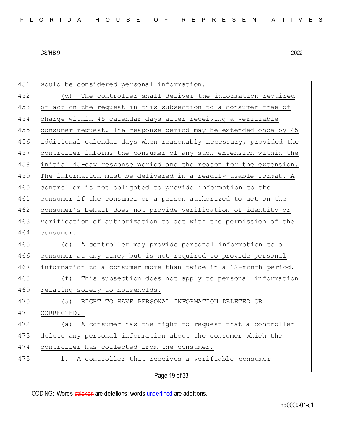| 451 | would be considered personal information.                        |
|-----|------------------------------------------------------------------|
| 452 | The controller shall deliver the information required<br>(d)     |
| 453 | or act on the request in this subsection to a consumer free of   |
| 454 | charge within 45 calendar days after receiving a verifiable      |
| 455 | consumer request. The response period may be extended once by 45 |
| 456 | additional calendar days when reasonably necessary, provided the |
| 457 | controller informs the consumer of any such extension within the |
| 458 | initial 45-day response period and the reason for the extension. |
| 459 | The information must be delivered in a readily usable format. A  |
| 460 | controller is not obligated to provide information to the        |
| 461 | consumer if the consumer or a person authorized to act on the    |
| 462 | consumer's behalf does not provide verification of identity or   |
| 463 | verification of authorization to act with the permission of the  |
| 464 | consumer.                                                        |
| 465 | A controller may provide personal information to a<br>(e)        |
| 466 | consumer at any time, but is not required to provide personal    |
| 467 | information to a consumer more than twice in a 12-month period.  |
| 468 | This subsection does not apply to personal information<br>(f)    |
| 469 | relating solely to households.                                   |
| 470 | (5)<br>RIGHT TO HAVE PERSONAL INFORMATION DELETED OR             |
| 471 | CORRECTED.-                                                      |
| 472 | A consumer has the right to request that a controller<br>(a)     |
| 473 | delete any personal information about the consumer which the     |
| 474 | controller has collected from the consumer.                      |
| 475 | 1. A controller that receives a verifiable consumer              |
|     |                                                                  |

Page 19 of 33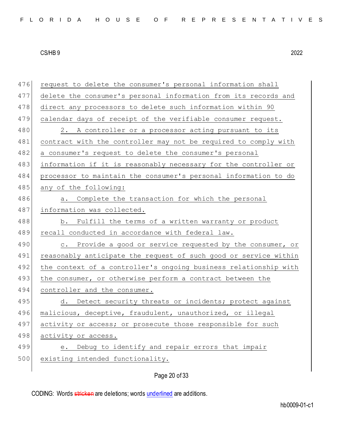|  |  |  |  |  | FLORIDA HOUSE OF REPRESENTATIVES |
|--|--|--|--|--|----------------------------------|
|--|--|--|--|--|----------------------------------|

| 476 | request to delete the consumer's personal information shall      |
|-----|------------------------------------------------------------------|
| 477 | delete the consumer's personal information from its records and  |
| 478 | direct any processors to delete such information within 90       |
| 479 | calendar days of receipt of the verifiable consumer request.     |
| 480 | 2. A controller or a processor acting pursuant to its            |
| 481 | contract with the controller may not be required to comply with  |
| 482 | a consumer's request to delete the consumer's personal           |
| 483 | information if it is reasonably necessary for the controller or  |
| 484 | processor to maintain the consumer's personal information to do  |
| 485 | any of the following:                                            |
| 486 | Complete the transaction for which the personal<br>a.            |
| 487 | information was collected.                                       |
| 488 | b. Fulfill the terms of a written warranty or product            |
| 489 | recall conducted in accordance with federal law.                 |
| 490 | c. Provide a good or service requested by the consumer, or       |
| 491 | reasonably anticipate the request of such good or service within |
| 492 | the context of a controller's ongoing business relationship with |
| 493 | the consumer, or otherwise perform a contract between the        |
| 494 | controller and the consumer.                                     |
| 495 | d. Detect security threats or incidents; protect against         |
| 496 | malicious, deceptive, fraudulent, unauthorized, or illegal       |
| 497 | activity or access; or prosecute those responsible for such      |
| 498 | activity or access.                                              |
| 499 | Debug to identify and repair errors that impair<br>е.            |
| 500 | existing intended functionality.                                 |
|     | Page 20 of 33                                                    |
|     |                                                                  |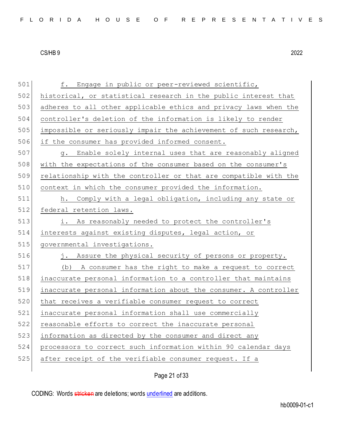f. Engage in public or peer-reviewed scientific, historical, or statistical research in the public interest that adheres to all other applicable ethics and privacy laws when the controller's deletion of the information is likely to render impossible or seriously impair the achievement of such research, 506 if the consumer has provided informed consent. 507 g. Enable solely internal uses that are reasonably aligned with the expectations of the consumer based on the consumer's relationship with the controller or that are compatible with the context in which the consumer provided the information. h. Comply with a legal obligation, including any state or 512 federal retention laws. i. As reasonably needed to protect the controller's interests against existing disputes, legal action, or 515 governmental investigations. 516 j. Assure the physical security of persons or property. 517 (b) A consumer has the right to make a request to correct inaccurate personal information to a controller that maintains inaccurate personal information about the consumer. A controller 520 that receives a verifiable consumer request to correct inaccurate personal information shall use commercially reasonable efforts to correct the inaccurate personal 523 information as directed by the consumer and direct any processors to correct such information within 90 calendar days after receipt of the verifiable consumer request. If a

Page 21 of 33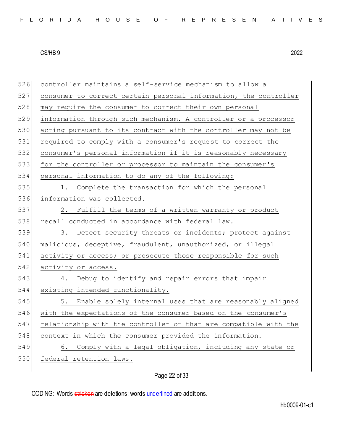| 526 | controller maintains a self-service mechanism to allow a         |
|-----|------------------------------------------------------------------|
| 527 | consumer to correct certain personal information, the controller |
| 528 | may require the consumer to correct their own personal           |
| 529 | information through such mechanism. A controller or a processor  |
| 530 | acting pursuant to its contract with the controller may not be   |
| 531 | required to comply with a consumer's request to correct the      |
| 532 | consumer's personal information if it is reasonably necessary    |
| 533 | for the controller or processor to maintain the consumer's       |
| 534 | personal information to do any of the following:                 |
| 535 | 1. Complete the transaction for which the personal               |
| 536 | information was collected.                                       |
| 537 | 2. Fulfill the terms of a written warranty or product            |
| 538 | recall conducted in accordance with federal law.                 |
| 539 | 3. Detect security threats or incidents; protect against         |
| 540 | malicious, deceptive, fraudulent, unauthorized, or illegal       |
| 541 | activity or access; or prosecute those responsible for such      |
| 542 | activity or access.                                              |
| 543 | Debug to identify and repair errors that impair<br>4.            |
| 544 | existing intended functionality.                                 |
| 545 | 5. Enable solely internal uses that are reasonably aligned       |
| 546 | with the expectations of the consumer based on the consumer's    |
| 547 | relationship with the controller or that are compatible with the |
| 548 | context in which the consumer provided the information.          |
| 549 | Comply with a legal obligation, including any state or<br>6.     |
| 550 | federal retention laws.                                          |
|     |                                                                  |

# Page 22 of 33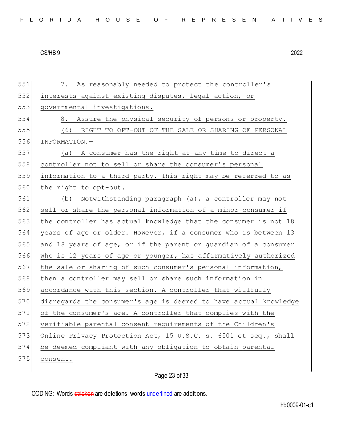| 551 | 7. As reasonably needed to protect the controller's              |
|-----|------------------------------------------------------------------|
| 552 | interests against existing disputes, legal action, or            |
| 553 | governmental investigations.                                     |
| 554 | 8. Assure the physical security of persons or property.          |
| 555 | (6) RIGHT TO OPT-OUT OF THE SALE OR SHARING OF PERSONAL          |
| 556 | INFORMATION.-                                                    |
| 557 | (a) A consumer has the right at any time to direct a             |
| 558 | controller not to sell or share the consumer's personal          |
| 559 | information to a third party. This right may be referred to as   |
| 560 | the right to opt-out.                                            |
| 561 | (b) Notwithstanding paragraph (a), a controller may not          |
| 562 | sell or share the personal information of a minor consumer if    |
| 563 | the controller has actual knowledge that the consumer is not 18  |
| 564 | years of age or older. However, if a consumer who is between 13  |
| 565 | and 18 years of age, or if the parent or quardian of a consumer  |
| 566 | who is 12 years of age or younger, has affirmatively authorized  |
| 567 | the sale or sharing of such consumer's personal information,     |
| 568 | then a controller may sell or share such information in          |
| 569 | accordance with this section. A controller that willfully        |
| 570 | disregards the consumer's age is deemed to have actual knowledge |
| 571 | of the consumer's age. A controller that complies with the       |
| 572 | verifiable parental consent requirements of the Children's       |
| 573 | Online Privacy Protection Act, 15 U.S.C. s. 6501 et seq., shall  |
| 574 | be deemed compliant with any obligation to obtain parental       |
| 575 | consent.                                                         |
|     |                                                                  |

Page 23 of 33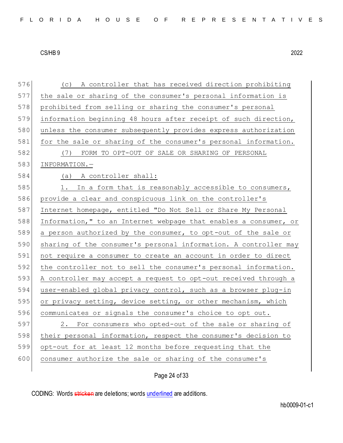| 576 | (c) A controller that has received direction prohibiting         |
|-----|------------------------------------------------------------------|
| 577 | the sale or sharing of the consumer's personal information is    |
| 578 | prohibited from selling or sharing the consumer's personal       |
| 579 | information beginning 48 hours after receipt of such direction,  |
| 580 | unless the consumer subsequently provides express authorization  |
| 581 | for the sale or sharing of the consumer's personal information.  |
| 582 | FORM TO OPT-OUT OF SALE OR SHARING OF PERSONAL<br>(7)            |
| 583 | INFORMATION.-                                                    |
| 584 | (a) A controller shall:                                          |
| 585 | 1. In a form that is reasonably accessible to consumers,         |
| 586 | provide a clear and conspicuous link on the controller's         |
| 587 | Internet homepage, entitled "Do Not Sell or Share My Personal    |
| 588 | Information," to an Internet webpage that enables a consumer, or |
| 589 | a person authorized by the consumer, to opt-out of the sale or   |
| 590 | sharing of the consumer's personal information. A controller may |
| 591 | not require a consumer to create an account in order to direct   |
| 592 | the controller not to sell the consumer's personal information.  |
| 593 | A controller may accept a request to opt-out received through a  |
| 594 | user-enabled global privacy control, such as a browser plug-in   |
| 595 | or privacy setting, device setting, or other mechanism, which    |
| 596 | communicates or signals the consumer's choice to opt out.        |
| 597 | 2. For consumers who opted-out of the sale or sharing of         |
| 598 | their personal information, respect the consumer's decision to   |
| 599 | opt-out for at least 12 months before requesting that the        |
| 600 | consumer authorize the sale or sharing of the consumer's         |
|     |                                                                  |

Page 24 of 33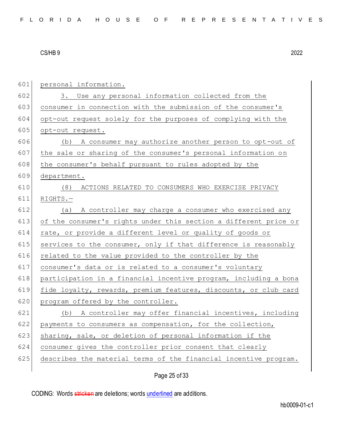| 601 | personal information.                                            |
|-----|------------------------------------------------------------------|
| 602 | 3. Use any personal information collected from the               |
| 603 | consumer in connection with the submission of the consumer's     |
| 604 | opt-out request solely for the purposes of complying with the    |
| 605 | opt-out request.                                                 |
| 606 | (b) A consumer may authorize another person to opt-out of        |
| 607 | the sale or sharing of the consumer's personal information on    |
| 608 | the consumer's behalf pursuant to rules adopted by the           |
| 609 | department.                                                      |
| 610 | (8)<br>ACTIONS RELATED TO CONSUMERS WHO EXERCISE PRIVACY         |
| 611 | $RIGHTS. -$                                                      |
| 612 | (a) A controller may charge a consumer who exercised any         |
| 613 | of the consumer's rights under this section a different price or |
| 614 | rate, or provide a different level or quality of goods or        |
| 615 | services to the consumer, only if that difference is reasonably  |
| 616 | related to the value provided to the controller by the           |
| 617 | consumer's data or is related to a consumer's voluntary          |
| 618 | participation in a financial incentive program, including a bona |
| 619 | fide loyalty, rewards, premium features, discounts, or club card |
| 620 | program offered by the controller.                               |
| 621 | (b) A controller may offer financial incentives, including       |
| 622 | payments to consumers as compensation, for the collection,       |
| 623 | sharing, sale, or deletion of personal information if the        |
| 624 | consumer gives the controller prior consent that clearly         |
| 625 | describes the material terms of the financial incentive program. |
|     |                                                                  |

Page 25 of 33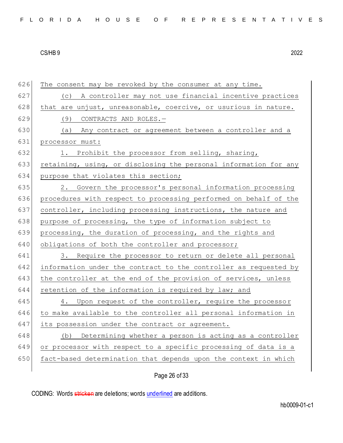|  |  |  | FLORIDA HOUSE OF REPRESENTATIVES |  |  |  |  |  |  |  |  |  |  |  |  |  |  |  |  |  |  |  |  |  |
|--|--|--|----------------------------------|--|--|--|--|--|--|--|--|--|--|--|--|--|--|--|--|--|--|--|--|--|
|--|--|--|----------------------------------|--|--|--|--|--|--|--|--|--|--|--|--|--|--|--|--|--|--|--|--|--|

| 626 | The consent may be revoked by the consumer at any time.          |
|-----|------------------------------------------------------------------|
| 627 | A controller may not use financial incentive practices<br>(C)    |
| 628 | that are unjust, unreasonable, coercive, or usurious in nature.  |
| 629 | (9)<br>CONTRACTS AND ROLES.-                                     |
| 630 | (a) Any contract or agreement between a controller and a         |
| 631 | processor must:                                                  |
| 632 | 1. Prohibit the processor from selling, sharing,                 |
| 633 | retaining, using, or disclosing the personal information for any |
| 634 | purpose that violates this section;                              |
| 635 | 2. Govern the processor's personal information processing        |
| 636 | procedures with respect to processing performed on behalf of the |
| 637 | controller, including processing instructions, the nature and    |
| 638 | purpose of processing, the type of information subject to        |
| 639 | processing, the duration of processing, and the rights and       |
| 640 | obligations of both the controller and processor;                |
| 641 | 3. Require the processor to return or delete all personal        |
| 642 | information under the contract to the controller as requested by |
| 643 | the controller at the end of the provision of services, unless   |
| 644 | retention of the information is required by law; and             |
| 645 | 4. Upon request of the controller, require the processor         |
| 646 | to make available to the controller all personal information in  |
| 647 | its possession under the contract or agreement.                  |
| 648 | (b) Determining whether a person is acting as a controller       |
| 649 | or processor with respect to a specific processing of data is a  |
| 650 | fact-based determination that depends upon the context in which  |
|     |                                                                  |

# Page 26 of 33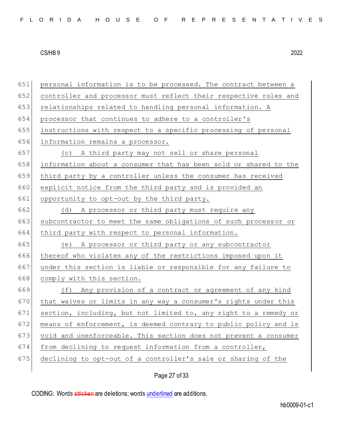651 personal information is to be processed. The contract between a 652 controller and processor must reflect their respective roles and 653 relationships related to handling personal information. A 654 processor that continues to adhere to a controller's 655 instructions with respect to a specific processing of personal 656 information remains a processor. 657 (c) A third party may not sell or share personal 658 information about a consumer that has been sold or shared to the 659 third party by a controller unless the consumer has received 660 explicit notice from the third party and is provided an 661 opportunity to opt-out by the third party. 662 (d) A processor or third party must require any 663 subcontractor to meet the same obligations of such processor or 664 third party with respect to personal information. 665 (e) A processor or third party or any subcontractor 666 thereof who violates any of the restrictions imposed upon it 667 under this section is liable or responsible for any failure to 668 comply with this section. 669 (f) Any provision of a contract or agreement of any kind 670 that waives or limits in any way a consumer's rights under this 671 section, including, but not limited to, any right to a remedy or 672 means of enforcement, is deemed contrary to public policy and is 673 void and unenforceable. This section does not prevent a consumer 674 from declining to request information from a controller, 675 declining to opt-out of a controller's sale or sharing of the

Page 27 of 33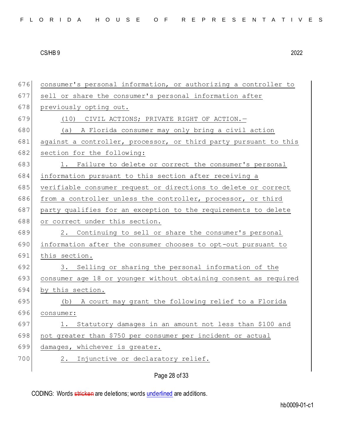| FLORIDA HOUSE OF REPRESENTATIVES |
|----------------------------------|
|----------------------------------|

| 676 | consumer's personal information, or authorizing a controller to  |
|-----|------------------------------------------------------------------|
| 677 | sell or share the consumer's personal information after          |
| 678 | previously opting out.                                           |
| 679 | (10) CIVIL ACTIONS; PRIVATE RIGHT OF ACTION. -                   |
| 680 | (a) A Florida consumer may only bring a civil action             |
| 681 | against a controller, processor, or third party pursuant to this |
| 682 | section for the following:                                       |
| 683 | 1. Failure to delete or correct the consumer's personal          |
| 684 | information pursuant to this section after receiving a           |
| 685 | verifiable consumer request or directions to delete or correct   |
| 686 | from a controller unless the controller, processor, or third     |
| 687 | party qualifies for an exception to the requirements to delete   |
| 688 | or correct under this section.                                   |
| 689 | 2. Continuing to sell or share the consumer's personal           |
| 690 | information after the consumer chooses to opt-out pursuant to    |
| 691 | this section.                                                    |
| 692 | 3. Selling or sharing the personal information of the            |
| 693 | consumer age 18 or younger without obtaining consent as required |
| 694 | by this section.                                                 |
| 695 | (b) A court may grant the following relief to a Florida          |
| 696 | consumer:                                                        |
| 697 | 1. Statutory damages in an amount not less than \$100 and        |
| 698 | not greater than \$750 per consumer per incident or actual       |
| 699 | damages, whichever is greater.                                   |
| 700 | Injunctive or declaratory relief.<br>2.                          |
|     |                                                                  |
|     | Page 28 of 33                                                    |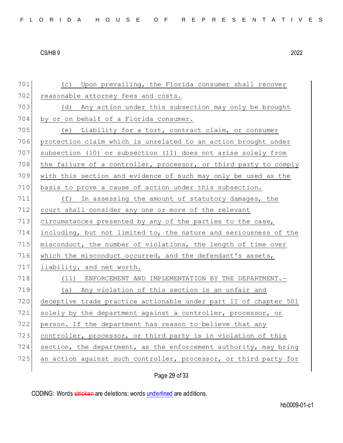701 (c) Upon prevailing, the Florida consumer shall recover 702 reasonable attorney fees and costs. 703 (d) Any action under this subsection may only be brought 704 by or on behalf of a Florida consumer. 705 (e) Liability for a tort, contract claim, or consumer 706 protection claim which is unrelated to an action brought under 707 subsection (10) or subsection (11) does not arise solely from 708 the failure of a controller, processor, or third party to comply 709 with this section and evidence of such may only be used as the 710 basis to prove a cause of action under this subsection. 711 (f) In assessing the amount of statutory damages, the 712 court shall consider any one or more of the relevant 713 circumstances presented by any of the parties to the case, 714 including, but not limited to, the nature and seriousness of the 715 misconduct, the number of violations, the length of time over 716 which the misconduct occurred, and the defendant's assets, 717 liability, and net worth. 718 (11) ENFORCEMENT AND IMPLEMENTATION BY THE DEPARTMENT. 719 (a) Any violation of this section is an unfair and 720 deceptive trade practice actionable under part II of chapter 501 721 solely by the department against a controller, processor, or 722 person. If the department has reason to believe that any 723 controller, processor, or third party is in violation of this 724 section, the department, as the enforcement authority, may bring 725 an action against such controller, processor, or third party for

Page 29 of 33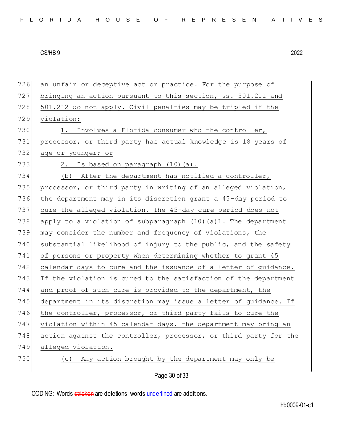Page 30 of 33 726 an unfair or deceptive act or practice. For the purpose of 727 bringing an action pursuant to this section, ss. 501.211 and 728 501.212 do not apply. Civil penalties may be tripled if the 729 violation: 730 1. Involves a Florida consumer who the controller, 731 processor, or third party has actual knowledge is 18 years of 732 age or younger; or 733 2. Is based on paragraph  $(10)(a)$ . 734 (b) After the department has notified a controller, 735 processor, or third party in writing of an alleged violation, 736 the department may in its discretion grant a 45-day period to 737 cure the alleged violation. The 45-day cure period does not 738 apply to a violation of subparagraph (10)(a)1. The department 739 may consider the number and frequency of violations, the 740 substantial likelihood of injury to the public, and the safety 741 of persons or property when determining whether to grant 45 742 calendar days to cure and the issuance of a letter of guidance. 743 If the violation is cured to the satisfaction of the department 744 and proof of such cure is provided to the department, the 745 department in its discretion may issue a letter of guidance. If 746 the controller, processor, or third party fails to cure the 747 violation within 45 calendar days, the department may bring an 748 action against the controller, processor, or third party for the 749 alleged violation. 750 (c) Any action brought by the department may only be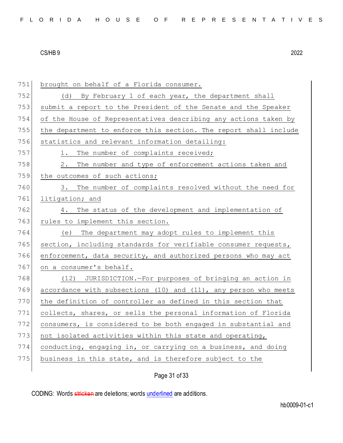| 751 | brought on behalf of a Florida consumer.                         |
|-----|------------------------------------------------------------------|
| 752 | (d) By February 1 of each year, the department shall             |
| 753 | submit a report to the President of the Senate and the Speaker   |
| 754 | of the House of Representatives describing any actions taken by  |
| 755 | the department to enforce this section. The report shall include |
| 756 | statistics and relevant information detailing:                   |
| 757 | The number of complaints received;<br>1.                         |
| 758 | The number and type of enforcement actions taken and<br>2.       |
| 759 | the outcomes of such actions;                                    |
| 760 | 3. The number of complaints resolved without the need for        |
| 761 | litigation; and                                                  |
| 762 | The status of the development and implementation of<br>4.        |
| 763 | rules to implement this section.                                 |
| 764 | (e) The department may adopt rules to implement this             |
| 765 | section, including standards for verifiable consumer requests,   |
| 766 | enforcement, data security, and authorized persons who may act   |
| 767 | on a consumer's behalf.                                          |
| 768 | (12) JURISDICTION.-For purposes of bringing an action in         |
| 769 | accordance with subsections (10) and (11), any person who meets  |
| 770 | the definition of controller as defined in this section that     |
| 771 | collects, shares, or sells the personal information of Florida   |
| 772 | consumers, is considered to be both engaged in substantial and   |
| 773 | not isolated activities within this state and operating,         |
| 774 | conducting, engaging in, or carrying on a business, and doing    |
| 775 | business in this state, and is therefore subject to the          |
|     |                                                                  |

Page 31 of 33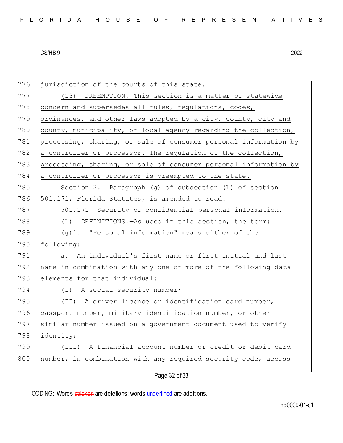| 776 | jurisdiction of the courts of this state.                        |
|-----|------------------------------------------------------------------|
| 777 | (13) PREEMPTION. - This section is a matter of statewide         |
| 778 | concern and supersedes all rules, regulations, codes,            |
| 779 | ordinances, and other laws adopted by a city, county, city and   |
| 780 | county, municipality, or local agency regarding the collection,  |
| 781 | processing, sharing, or sale of consumer personal information by |
| 782 | a controller or processor. The regulation of the collection,     |
| 783 | processing, sharing, or sale of consumer personal information by |
| 784 | a controller or processor is preempted to the state.             |
| 785 | Section 2. Paragraph (g) of subsection (1) of section            |
| 786 | 501.171, Florida Statutes, is amended to read:                   |
| 787 | 501.171 Security of confidential personal information.-          |
| 788 | (1) DEFINITIONS. - As used in this section, the term:            |
| 789 | (g)1. "Personal information" means either of the                 |
| 790 | following:                                                       |
| 791 | a. An individual's first name or first initial and last          |
| 792 | name in combination with any one or more of the following data   |
| 793 | elements for that individual:                                    |
| 794 | (I) A social security number;                                    |
| 795 | (II) A driver license or identification card number,             |
| 796 | passport number, military identification number, or other        |
| 797 | similar number issued on a government document used to verify    |
| 798 | identity;                                                        |
| 799 | A financial account number or credit or debit card<br>(III)      |
| 800 | number, in combination with any required security code, access   |
|     | Page 32 of 33                                                    |